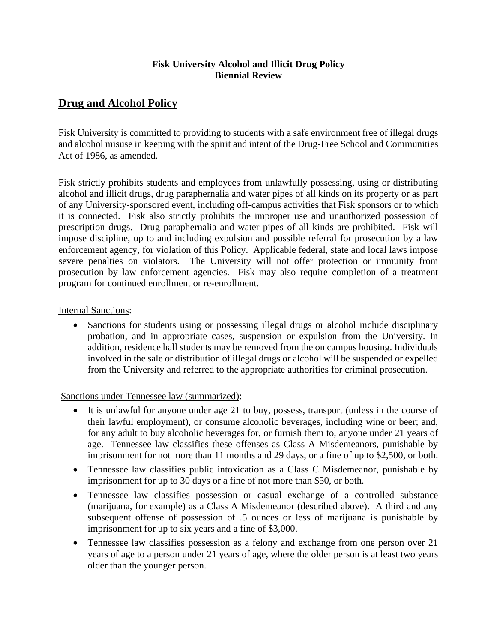# **Fisk University Alcohol and Illicit Drug Policy Biennial Review**

# **Drug and Alcohol Policy**

Fisk University is committed to providing to students with a safe environment free of illegal drugs and alcohol misuse in keeping with the spirit and intent of the Drug-Free School and Communities Act of 1986, as amended.

Fisk strictly prohibits students and employees from unlawfully possessing, using or distributing alcohol and illicit drugs, drug paraphernalia and water pipes of all kinds on its property or as part of any University-sponsored event, including off-campus activities that Fisk sponsors or to which it is connected. Fisk also strictly prohibits the improper use and unauthorized possession of prescription drugs. Drug paraphernalia and water pipes of all kinds are prohibited. Fisk will impose discipline, up to and including expulsion and possible referral for prosecution by a law enforcement agency, for violation of this Policy. Applicable federal, state and local laws impose severe penalties on violators. The University will not offer protection or immunity from prosecution by law enforcement agencies. Fisk may also require completion of a treatment program for continued enrollment or re-enrollment.

# Internal Sanctions:

• Sanctions for students using or possessing illegal drugs or alcohol include disciplinary probation, and in appropriate cases, suspension or expulsion from the University. In addition, residence hall students may be removed from the on campus housing. Individuals involved in the sale or distribution of illegal drugs or alcohol will be suspended or expelled from the University and referred to the appropriate authorities for criminal prosecution.

Sanctions under Tennessee law (summarized):

- It is unlawful for anyone under age 21 to buy, possess, transport (unless in the course of their lawful employment), or consume alcoholic beverages, including wine or beer; and, for any adult to buy alcoholic beverages for, or furnish them to, anyone under 21 years of age. Tennessee law classifies these offenses as Class A Misdemeanors, punishable by imprisonment for not more than 11 months and 29 days, or a fine of up to \$2,500, or both.
- Tennessee law classifies public intoxication as a Class C Misdemeanor, punishable by imprisonment for up to 30 days or a fine of not more than \$50, or both.
- Tennessee law classifies possession or casual exchange of a controlled substance (marijuana, for example) as a Class A Misdemeanor (described above). A third and any subsequent offense of possession of .5 ounces or less of marijuana is punishable by imprisonment for up to six years and a fine of \$3,000.
- Tennessee law classifies possession as a felony and exchange from one person over 21 years of age to a person under 21 years of age, where the older person is at least two years older than the younger person.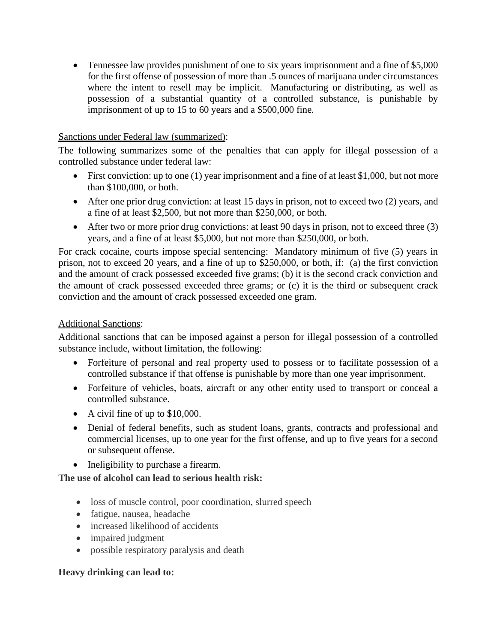• Tennessee law provides punishment of one to six years imprisonment and a fine of \$5,000 for the first offense of possession of more than .5 ounces of marijuana under circumstances where the intent to resell may be implicit. Manufacturing or distributing, as well as possession of a substantial quantity of a controlled substance, is punishable by imprisonment of up to 15 to 60 years and a \$500,000 fine.

## Sanctions under Federal law (summarized):

The following summarizes some of the penalties that can apply for illegal possession of a controlled substance under federal law:

- First conviction: up to one (1) year imprisonment and a fine of at least \$1,000, but not more than \$100,000, or both.
- After one prior drug conviction: at least 15 days in prison, not to exceed two (2) years, and a fine of at least \$2,500, but not more than \$250,000, or both.
- After two or more prior drug convictions: at least 90 days in prison, not to exceed three (3) years, and a fine of at least \$5,000, but not more than \$250,000, or both.

For crack cocaine, courts impose special sentencing: Mandatory minimum of five (5) years in prison, not to exceed 20 years, and a fine of up to \$250,000, or both, if: (a) the first conviction and the amount of crack possessed exceeded five grams; (b) it is the second crack conviction and the amount of crack possessed exceeded three grams; or (c) it is the third or subsequent crack conviction and the amount of crack possessed exceeded one gram.

## Additional Sanctions:

Additional sanctions that can be imposed against a person for illegal possession of a controlled substance include, without limitation, the following:

- Forfeiture of personal and real property used to possess or to facilitate possession of a controlled substance if that offense is punishable by more than one year imprisonment.
- Forfeiture of vehicles, boats, aircraft or any other entity used to transport or conceal a controlled substance.
- A civil fine of up to \$10,000.
- Denial of federal benefits, such as student loans, grants, contracts and professional and commercial licenses, up to one year for the first offense, and up to five years for a second or subsequent offense.
- Ineligibility to purchase a firearm.

**The use of alcohol can lead to serious health risk:**

- loss of muscle control, poor coordination, slurred speech
- fatigue, nausea, headache
- increased likelihood of accidents
- impaired judgment
- possible respiratory paralysis and death

#### **Heavy drinking can lead to:**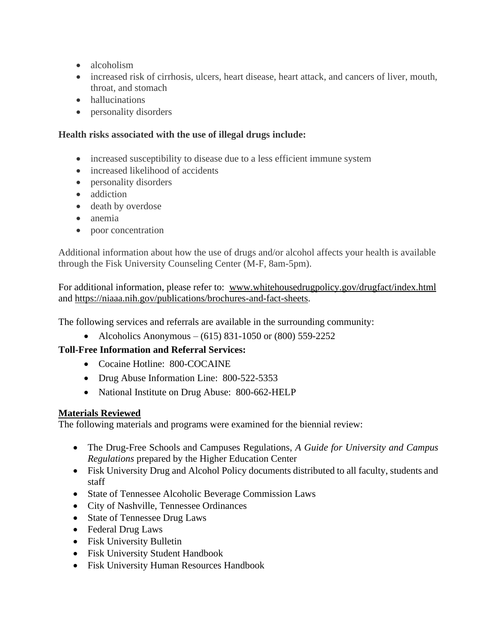- alcoholism
- increased risk of cirrhosis, ulcers, heart disease, heart attack, and cancers of liver, mouth, throat, and stomach
- hallucinations
- personality disorders

# **Health risks associated with the use of illegal drugs include:**

- increased susceptibility to disease due to a less efficient immune system
- increased likelihood of accidents
- personality disorders
- addiction
- death by overdose
- anemia
- poor concentration

Additional information about how the use of drugs and/or alcohol affects your health is available through the Fisk University Counseling Center (M-F, 8am-5pm).

For additional information, please refer to: www.whitehousedrugpolicy.gov/drugfact/index.html and [https://niaaa.nih.gov/publications/brochures-and-fact-sheets.](https://niaaa.nih.gov/publications/brochures-and-fact-sheets)

The following services and referrals are available in the surrounding community:

• Alcoholics Anonymous – (615) 831-1050 or (800) 559-2252

# **Toll-Free Information and Referral Services:**

- Cocaine Hotline: 800-COCAINE
- Drug Abuse Information Line: 800-522-5353
- National Institute on Drug Abuse: 800-662-HELP

# **Materials Reviewed**

The following materials and programs were examined for the biennial review:

- The Drug-Free Schools and Campuses Regulations, *A Guide for University and Campus Regulations* prepared by the Higher Education Center
- Fisk University Drug and Alcohol Policy documents distributed to all faculty, students and staff
- State of Tennessee Alcoholic Beverage Commission Laws
- City of Nashville, Tennessee Ordinances
- State of Tennessee Drug Laws
- Federal Drug Laws
- Fisk University Bulletin
- Fisk University Student Handbook
- Fisk University Human Resources Handbook